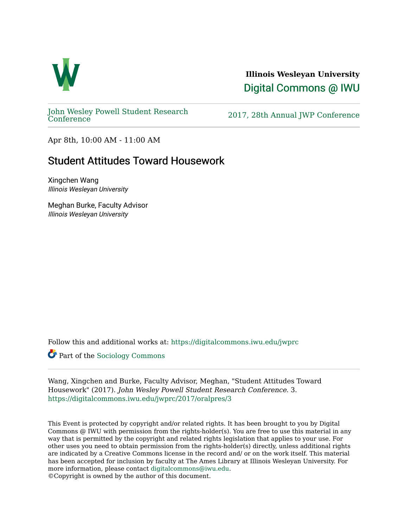

**Illinois Wesleyan University**  [Digital Commons @ IWU](https://digitalcommons.iwu.edu/) 

[John Wesley Powell Student Research](https://digitalcommons.iwu.edu/jwprc) 

2017, 28th Annual JWP [Conference](https://digitalcommons.iwu.edu/jwprc)

Apr 8th, 10:00 AM - 11:00 AM

## Student Attitudes Toward Housework

Xingchen Wang Illinois Wesleyan University

Meghan Burke, Faculty Advisor Illinois Wesleyan University

Follow this and additional works at: [https://digitalcommons.iwu.edu/jwprc](https://digitalcommons.iwu.edu/jwprc?utm_source=digitalcommons.iwu.edu%2Fjwprc%2F2017%2Foralpres%2F3&utm_medium=PDF&utm_campaign=PDFCoverPages) 

Part of the [Sociology Commons](http://network.bepress.com/hgg/discipline/416?utm_source=digitalcommons.iwu.edu%2Fjwprc%2F2017%2Foralpres%2F3&utm_medium=PDF&utm_campaign=PDFCoverPages) 

Wang, Xingchen and Burke, Faculty Advisor, Meghan, "Student Attitudes Toward Housework" (2017). John Wesley Powell Student Research Conference. 3. [https://digitalcommons.iwu.edu/jwprc/2017/oralpres/3](https://digitalcommons.iwu.edu/jwprc/2017/oralpres/3?utm_source=digitalcommons.iwu.edu%2Fjwprc%2F2017%2Foralpres%2F3&utm_medium=PDF&utm_campaign=PDFCoverPages) 

This Event is protected by copyright and/or related rights. It has been brought to you by Digital Commons @ IWU with permission from the rights-holder(s). You are free to use this material in any way that is permitted by the copyright and related rights legislation that applies to your use. For other uses you need to obtain permission from the rights-holder(s) directly, unless additional rights are indicated by a Creative Commons license in the record and/ or on the work itself. This material has been accepted for inclusion by faculty at The Ames Library at Illinois Wesleyan University. For more information, please contact [digitalcommons@iwu.edu](mailto:digitalcommons@iwu.edu). ©Copyright is owned by the author of this document.